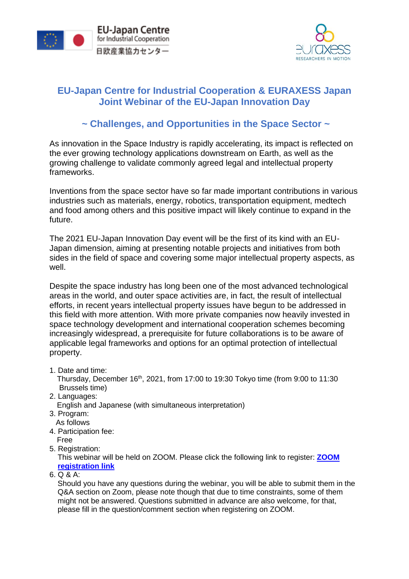



## **EU-Japan Centre for Industrial Cooperation & EURAXESS Japan Joint Webinar of the EU-Japan Innovation Day**

## **~ Challenges, and Opportunities in the Space Sector ~**

As innovation in the Space Industry is rapidly accelerating, its impact is reflected on the ever growing technology applications downstream on Earth, as well as the growing challenge to validate commonly agreed legal and intellectual property frameworks.

Inventions from the space sector have so far made important contributions in various industries such as materials, energy, robotics, transportation equipment, medtech and food among others and this positive impact will likely continue to expand in the future.

The 2021 EU-Japan Innovation Day event will be the first of its kind with an EU-Japan dimension, aiming at presenting notable projects and initiatives from both sides in the field of space and covering some major intellectual property aspects, as well.

Despite the space industry has long been one of the most advanced technological areas in the world, and outer space activities are, in fact, the result of intellectual efforts, in recent years intellectual property issues have begun to be addressed in this field with more attention. With more private companies now heavily invested in space technology development and international cooperation schemes becoming increasingly widespread, a prerequisite for future collaborations is to be aware of applicable legal frameworks and options for an optimal protection of intellectual property.

1. Date and time:

Thursday, December 16th, 2021, from 17:00 to 19:30 Tokyo time (from 9:00 to 11:30 Brussels time)

2. Languages:

English and Japanese (with simultaneous interpretation)

- 3. Program: As follows
- 4. Participation fee: Free
- 5. Registration:

This webinar will be held on ZOOM. Please click the following link to register: **[ZOOM](https://us06web.zoom.us/webinar/register/WN_n16LrhMsQ4-hpkt5W9xQ7g)  [registration link](https://us06web.zoom.us/webinar/register/WN_n16LrhMsQ4-hpkt5W9xQ7g)**

6. Q & A:

Should you have any questions during the webinar, you will be able to submit them in the Q&A section on Zoom, please note though that due to time constraints, some of them might not be answered. Questions submitted in advance are also welcome, for that, please fill in the question/comment section when registering on ZOOM.